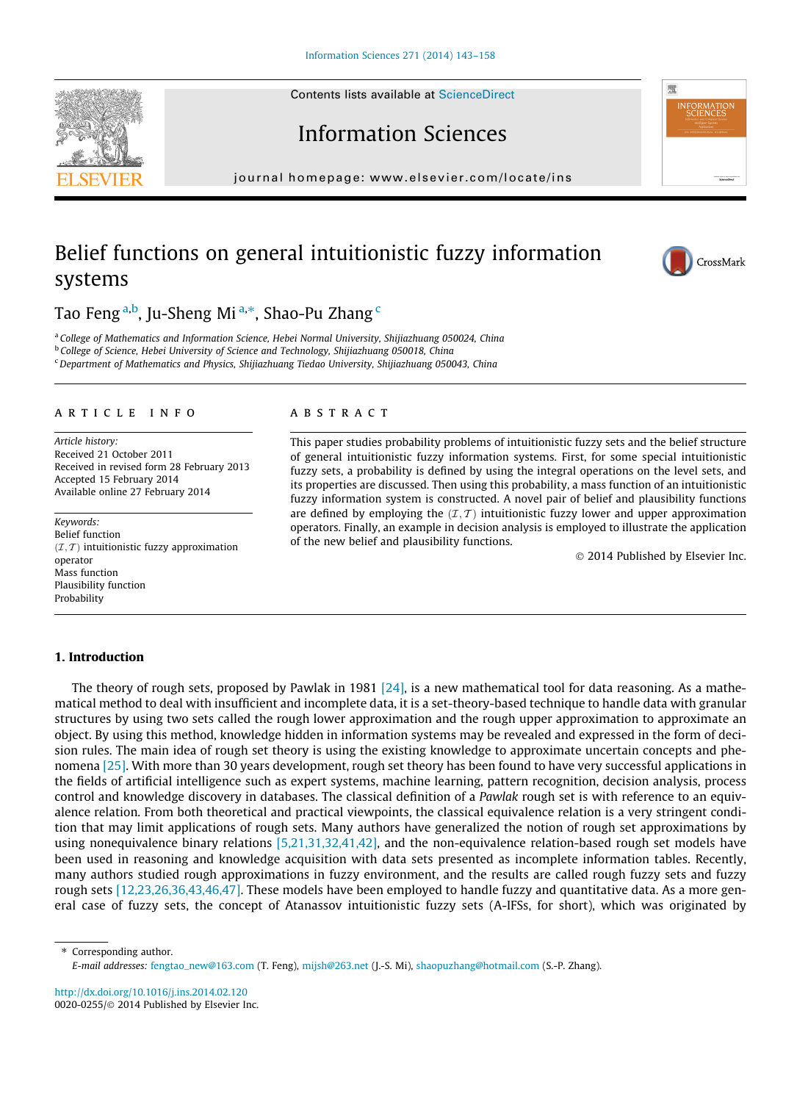Contents lists available at [ScienceDirect](http://www.sciencedirect.com/science/journal/00200255)

# Information Sciences

journal homepage: [www.elsevier.com/locate/ins](http://www.elsevier.com/locate/ins)

## Belief functions on general intuitionistic fuzzy information systems

Tao Feng <sup>a,b</sup>, Ju-Sheng Mi <sup>a,</sup>\*, Shao-Pu Zhang <sup>c</sup>

<sup>a</sup> College of Mathematics and Information Science, Hebei Normal University, Shijiazhuang 050024, China

**b College of Science, Hebei University of Science and Technology, Shijiazhuang 050018, China** 

 $c$ Department of Mathematics and Physics, Shijiazhuang Tiedao University, Shijiazhuang 050043, China

## article info

Article history: Received 21 October 2011 Received in revised form 28 February 2013 Accepted 15 February 2014 Available online 27 February 2014

Keywords: Belief function  $(\mathcal{I}, \mathcal{T})$  intuitionistic fuzzy approximation operator Mass function Plausibility function Probability

#### 1. Introduction

## A B S T R A C T

This paper studies probability problems of intuitionistic fuzzy sets and the belief structure of general intuitionistic fuzzy information systems. First, for some special intuitionistic fuzzy sets, a probability is defined by using the integral operations on the level sets, and its properties are discussed. Then using this probability, a mass function of an intuitionistic fuzzy information system is constructed. A novel pair of belief and plausibility functions are defined by employing the  $(I, T)$  intuitionistic fuzzy lower and upper approximation operators. Finally, an example in decision analysis is employed to illustrate the application of the new belief and plausibility functions.

© 2014 Published by Elsevier Inc.

The theory of rough sets, proposed by Pawlak in 1981 [\[24\],](#page--1-0) is a new mathematical tool for data reasoning. As a mathematical method to deal with insufficient and incomplete data, it is a set-theory-based technique to handle data with granular structures by using two sets called the rough lower approximation and the rough upper approximation to approximate an object. By using this method, knowledge hidden in information systems may be revealed and expressed in the form of decision rules. The main idea of rough set theory is using the existing knowledge to approximate uncertain concepts and phenomena [\[25\].](#page--1-0) With more than 30 years development, rough set theory has been found to have very successful applications in the fields of artificial intelligence such as expert systems, machine learning, pattern recognition, decision analysis, process control and knowledge discovery in databases. The classical definition of a Pawlak rough set is with reference to an equivalence relation. From both theoretical and practical viewpoints, the classical equivalence relation is a very stringent condition that may limit applications of rough sets. Many authors have generalized the notion of rough set approximations by using nonequivalence binary relations [\[5,21,31,32,41,42\]](#page--1-0), and the non-equivalence relation-based rough set models have been used in reasoning and knowledge acquisition with data sets presented as incomplete information tables. Recently, many authors studied rough approximations in fuzzy environment, and the results are called rough fuzzy sets and fuzzy rough sets [\[12,23,26,36,43,46,47\]](#page--1-0). These models have been employed to handle fuzzy and quantitative data. As a more general case of fuzzy sets, the concept of Atanassov intuitionistic fuzzy sets (A-IFSs, for short), which was originated by

⇑ Corresponding author.

<http://dx.doi.org/10.1016/j.ins.2014.02.120> 0020-0255/© 2014 Published by Elsevier Inc.







E-mail addresses: [fengtao\\_new@163.com](mailto:fengtao_new@163.com) (T. Feng), [mijsh@263.net](mailto:mijsh@263.net) (J.-S. Mi), [shaopuzhang@hotmail.com](mailto:shaopuzhang@hotmail.com) (S.-P. Zhang).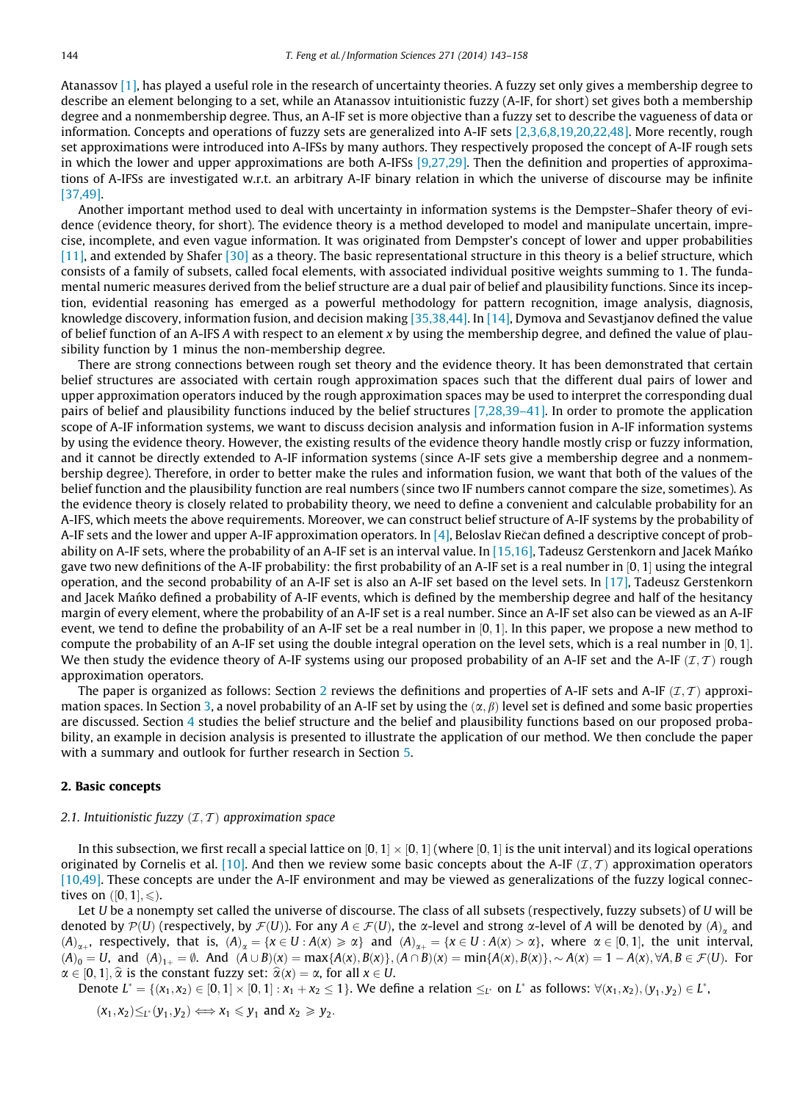Atanassov [\[1\]](#page--1-0), has played a useful role in the research of uncertainty theories. A fuzzy set only gives a membership degree to describe an element belonging to a set, while an Atanassov intuitionistic fuzzy (A-IF, for short) set gives both a membership degree and a nonmembership degree. Thus, an A-IF set is more objective than a fuzzy set to describe the vagueness of data or information. Concepts and operations of fuzzy sets are generalized into A-IF sets [\[2,3,6,8,19,20,22,48\].](#page--1-0) More recently, rough set approximations were introduced into A-IFSs by many authors. They respectively proposed the concept of A-IF rough sets in which the lower and upper approximations are both A-IFSs [\[9,27,29\].](#page--1-0) Then the definition and properties of approximations of A-IFSs are investigated w.r.t. an arbitrary A-IF binary relation in which the universe of discourse may be infinite [\[37,49\]](#page--1-0).

Another important method used to deal with uncertainty in information systems is the Dempster–Shafer theory of evidence (evidence theory, for short). The evidence theory is a method developed to model and manipulate uncertain, imprecise, incomplete, and even vague information. It was originated from Dempster's concept of lower and upper probabilities  $[11]$ , and extended by Shafer  $[30]$  as a theory. The basic representational structure in this theory is a belief structure, which consists of a family of subsets, called focal elements, with associated individual positive weights summing to 1. The fundamental numeric measures derived from the belief structure are a dual pair of belief and plausibility functions. Since its inception, evidential reasoning has emerged as a powerful methodology for pattern recognition, image analysis, diagnosis, knowledge discovery, information fusion, and decision making [\[35,38,44\]](#page--1-0). In [\[14\],](#page--1-0) Dymova and Sevastjanov defined the value of belief function of an A-IFS A with respect to an element x by using the membership degree, and defined the value of plausibility function by 1 minus the non-membership degree.

There are strong connections between rough set theory and the evidence theory. It has been demonstrated that certain belief structures are associated with certain rough approximation spaces such that the different dual pairs of lower and upper approximation operators induced by the rough approximation spaces may be used to interpret the corresponding dual pairs of belief and plausibility functions induced by the belief structures [\[7,28,39–41\]](#page--1-0). In order to promote the application scope of A-IF information systems, we want to discuss decision analysis and information fusion in A-IF information systems by using the evidence theory. However, the existing results of the evidence theory handle mostly crisp or fuzzy information, and it cannot be directly extended to A-IF information systems (since A-IF sets give a membership degree and a nonmembership degree). Therefore, in order to better make the rules and information fusion, we want that both of the values of the belief function and the plausibility function are real numbers (since two IF numbers cannot compare the size, sometimes). As the evidence theory is closely related to probability theory, we need to define a convenient and calculable probability for an A-IFS, which meets the above requirements. Moreover, we can construct belief structure of A-IF systems by the probability of A-IF sets and the lower and upper A-IF approximation operators. In [\[4\]](#page--1-0), Beloslav Riečan defined a descriptive concept of prob-ability on A-IF sets, where the probability of an A-IF set is an interval value. In [\[15,16\]](#page--1-0), Tadeusz Gerstenkorn and Jacek Man´ko gave two new definitions of the A-IF probability: the first probability of an A-IF set is a real number in  $[0,1]$  using the integral operation, and the second probability of an A-IF set is also an A-IF set based on the level sets. In [\[17\]](#page--1-0), Tadeusz Gerstenkorn and Jacek Man´ko defined a probability of A-IF events, which is defined by the membership degree and half of the hesitancy margin of every element, where the probability of an A-IF set is a real number. Since an A-IF set also can be viewed as an A-IF event, we tend to define the probability of an A-IF set be a real number in [0, 1]. In this paper, we propose a new method to compute the probability of an A-IF set using the double integral operation on the level sets, which is a real number in  $[0,1]$ . We then study the evidence theory of A-IF systems using our proposed probability of an A-IF set and the A-IF  $(I, T)$  rough approximation operators.

The paper is organized as follows: Section 2 reviews the definitions and properties of A-IF sets and A-IF  $(\mathcal{I}, \mathcal{T})$  approxi-mation spaces. In Section [3](#page--1-0), a novel probability of an A-IF set by using the  $(\alpha, \beta)$  level set is defined and some basic properties are discussed. Section [4](#page--1-0) studies the belief structure and the belief and plausibility functions based on our proposed probability, an example in decision analysis is presented to illustrate the application of our method. We then conclude the paper with a summary and outlook for further research in Section [5.](#page--1-0)

## 2. Basic concepts

### 2.1. Intuitionistic fuzzy  $(\mathcal{I}, \mathcal{T})$  approximation space

In this subsection, we first recall a special lattice on  $[0,1]\times[0,1]$  (where  $[0,1]$  is the unit interval) and its logical operations originated by Cornelis et al. [\[10\]](#page--1-0). And then we review some basic concepts about the A-IF  $(\mathcal{I}, \mathcal{T})$  approximation operators [\[10,49\].](#page--1-0) These concepts are under the A-IF environment and may be viewed as generalizations of the fuzzy logical connectives on  $([0, 1], \leqslant)$ .

Let U be a nonempty set called the universe of discourse. The class of all subsets (respectively, fuzzy subsets) of U will be denoted by  $\mathcal{P}(U)$  (respectively, by  $\mathcal{F}(U)$ ). For any  $A \in \mathcal{F}(U)$ , the  $\alpha$ -level and strong  $\alpha$ -level of A will be denoted by  $(A)_{\alpha}$  and  $(A)_{\alpha+}$ , respectively, that is,  $(A)_{\alpha} = \{x \in U : A(x) \ge \alpha\}$  and  $(A)_{\alpha+} = \{x \in U : A(x) > \alpha\}$ , where  $\alpha \in [0,1]$ , the unit interval,  $(A)_0 = U$ , and  $(A)_{1+} = \emptyset$ . And  $(A \cup B)(x) = \max\{A(x), B(x)\}$ ,  $(A \cap B)(x) = \min\{A(x), B(x)\}$ ,  $\sim A(x) = 1 - A(x)$ ,  $\forall A, B \in \mathcal{F}(U)$ . For  $\alpha \in [0, 1], \widehat{\alpha}$  is the constant fuzzy set:  $\widehat{\alpha}(x) = \alpha$ , for all  $x \in U$ .

Denote  $L^* = \{(x_1, x_2) \in [0, 1] \times [0, 1] : x_1 + x_2 \le 1\}$ . We define a relation  $\leq_{L^*}$  on  $L^*$  as follows:  $\forall (x_1, x_2), (y_1, y_2) \in L^*$ ,

$$
(x_1, x_2) \leq_{L^*} (y_1, y_2) \iff x_1 \leq y_1 \text{ and } x_2 \geq y_2.
$$